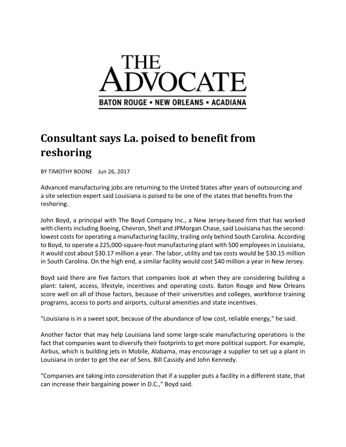

## **Consultant says La. poised to benefit from reshoring**

BY TIMOTHY BOONE Jun 26, 2017

Advanced manufacturing jobs are returning to the United States after years of outsourcing and a site selection expert said Louisiana is poised to be one of the states that benefits from the reshoring.

John Boyd, a principal with The Boyd Company Inc., a New Jersey‐based firm that has worked with clients including Boeing, Chevron, Shell and JPMorgan Chase, said Louisiana has the second‐ lowest costs for operating a manufacturing facility, trailing only behind South Carolina. According to Boyd, to operate a 225,000‐square‐foot manufacturing plant with 500 employeesin Louisiana, it would cost about \$30.17 million a year. The labor, utility and tax costs would be \$30.15 million in South Carolina. On the high end, a similar facility would cost \$40 million a year in New Jersey.

Boyd said there are five factors that companies look at when they are considering building a plant: talent, access, lifestyle, incentives and operating costs. Baton Rouge and New Orleans score well on all of those factors, because of their universities and colleges, workforce training programs, access to ports and airports, cultural amenities and state incentives.

"Louisiana is in a sweet spot, because of the abundance of low cost, reliable energy," he said.

Another factor that may help Louisiana land some large‐scale manufacturing operations is the fact that companies want to diversify their footprints to get more political support. For example, Airbus, which is building jets in Mobile, Alabama, may encourage a supplier to set up a plant in Louisiana in order to get the ear of Sens. Bill Cassidy and John Kennedy.

"Companies are taking into consideration that if a supplier puts a facility in a different state, that can increase their bargaining power in D.C.," Boyd said.